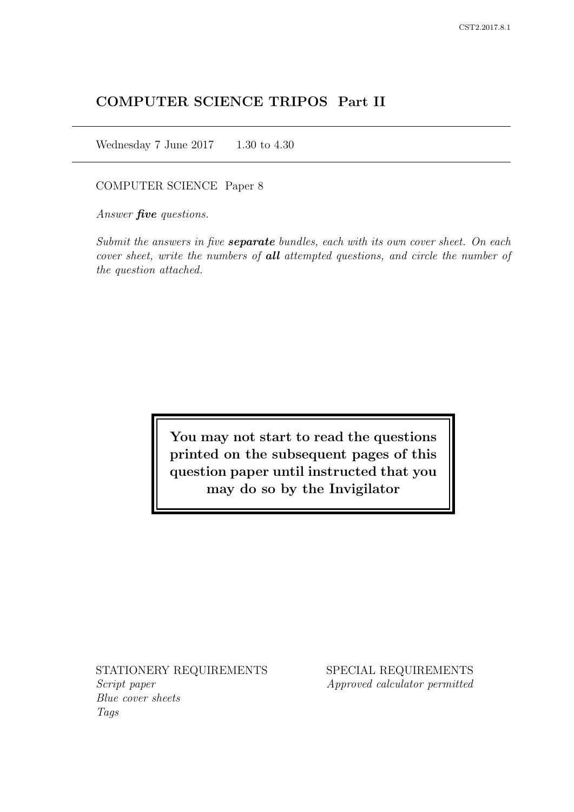# COMPUTER SCIENCE TRIPOS Part II

Wednesday 7 June 2017 1.30 to 4.30

COMPUTER SCIENCE Paper 8

Answer *five* questions.

Submit the answers in five **separate** bundles, each with its own cover sheet. On each cover sheet, write the numbers of **all** attempted questions, and circle the number of the question attached.

> You may not start to read the questions printed on the subsequent pages of this question paper until instructed that you may do so by the Invigilator

STATIONERY REQUIREMENTS Script paper Blue cover sheets

Tags

SPECIAL REQUIREMENTS Approved calculator permitted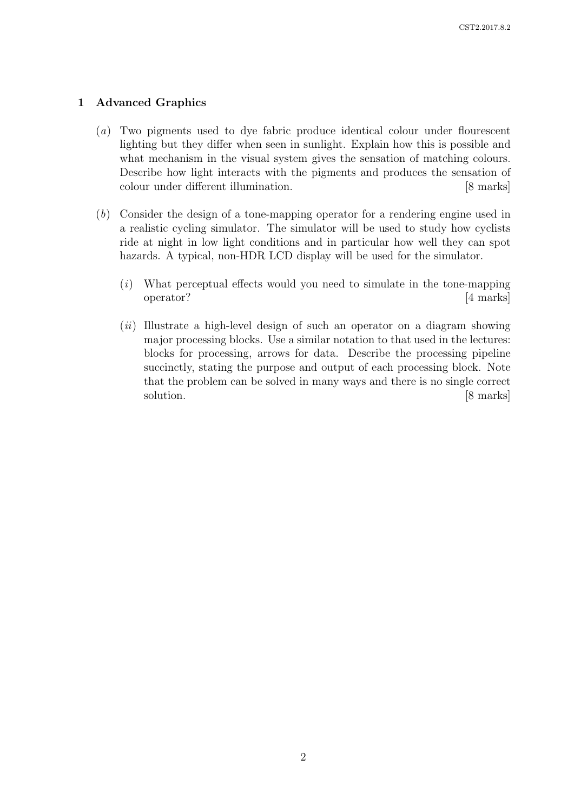# 1 Advanced Graphics

- (a) Two pigments used to dye fabric produce identical colour under flourescent lighting but they differ when seen in sunlight. Explain how this is possible and what mechanism in the visual system gives the sensation of matching colours. Describe how light interacts with the pigments and produces the sensation of colour under different illumination. [8 marks]
- (b) Consider the design of a tone-mapping operator for a rendering engine used in a realistic cycling simulator. The simulator will be used to study how cyclists ride at night in low light conditions and in particular how well they can spot hazards. A typical, non-HDR LCD display will be used for the simulator.
	- (i) What perceptual effects would you need to simulate in the tone-mapping operator? [4 marks]
	- $(ii)$  Illustrate a high-level design of such an operator on a diagram showing major processing blocks. Use a similar notation to that used in the lectures: blocks for processing, arrows for data. Describe the processing pipeline succinctly, stating the purpose and output of each processing block. Note that the problem can be solved in many ways and there is no single correct solution. [8 marks]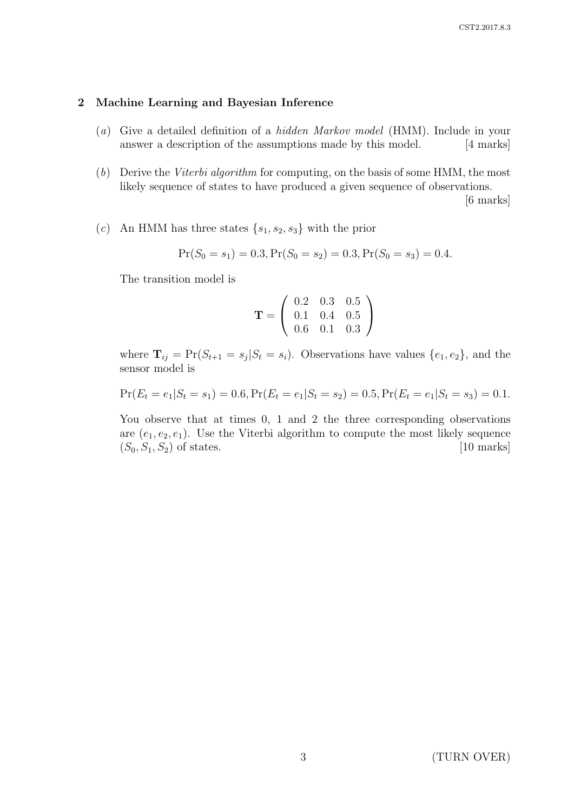#### 2 Machine Learning and Bayesian Inference

- (a) Give a detailed definition of a hidden Markov model (HMM). Include in your answer a description of the assumptions made by this model. [4 marks]
- (b) Derive the Viterbi algorithm for computing, on the basis of some HMM, the most likely sequence of states to have produced a given sequence of observations.

[6 marks]

(c) An HMM has three states  $\{s_1, s_2, s_3\}$  with the prior

$$
Pr(S_0 = s_1) = 0.3, Pr(S_0 = s_2) = 0.3, Pr(S_0 = s_3) = 0.4.
$$

The transition model is

$$
\mathbf{T} = \left(\begin{array}{ccc} 0.2 & 0.3 & 0.5 \\ 0.1 & 0.4 & 0.5 \\ 0.6 & 0.1 & 0.3 \end{array}\right)
$$

where  $\mathbf{T}_{ij} = \Pr(S_{t+1} = s_j | S_t = s_i)$ . Observations have values  $\{e_1, e_2\}$ , and the sensor model is

$$
Pr(E_t = e_1 | S_t = s_1) = 0.6, Pr(E_t = e_1 | S_t = s_2) = 0.5, Pr(E_t = e_1 | S_t = s_3) = 0.1.
$$

You observe that at times 0, 1 and 2 the three corresponding observations are  $(e_1, e_2, e_1)$ . Use the Viterbi algorithm to compute the most likely sequence  $(S_0, S_1, S_2)$  of states. [10 marks]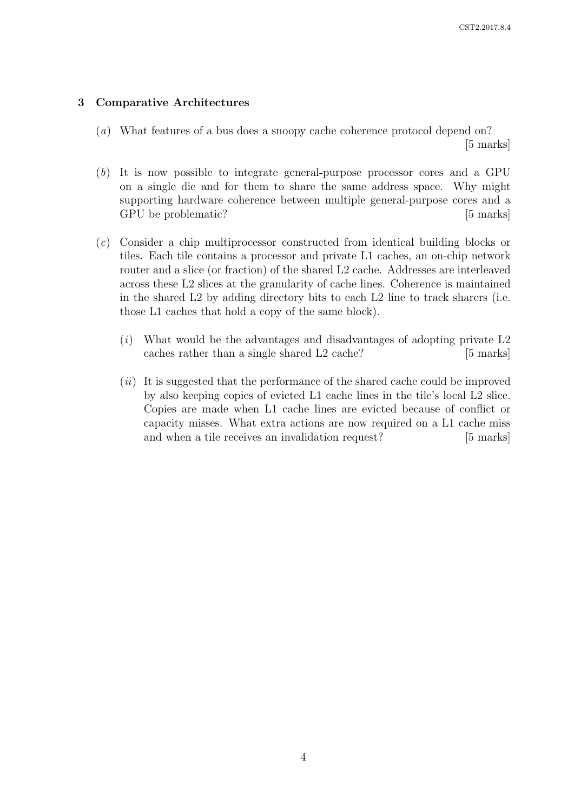# 3 Comparative Architectures

- (a) What features of a bus does a snoopy cache coherence protocol depend on? [5 marks]
- (b) It is now possible to integrate general-purpose processor cores and a GPU on a single die and for them to share the same address space. Why might supporting hardware coherence between multiple general-purpose cores and a GPU be problematic? [5 marks]
- (c) Consider a chip multiprocessor constructed from identical building blocks or tiles. Each tile contains a processor and private L1 caches, an on-chip network router and a slice (or fraction) of the shared L2 cache. Addresses are interleaved across these L2 slices at the granularity of cache lines. Coherence is maintained in the shared L2 by adding directory bits to each L2 line to track sharers (i.e. those L1 caches that hold a copy of the same block).
	- $(i)$  What would be the advantages and disadvantages of adopting private L2 caches rather than a single shared L2 cache? [5 marks]
	- $(ii)$  It is suggested that the performance of the shared cache could be improved by also keeping copies of evicted L1 cache lines in the tile's local L2 slice. Copies are made when L1 cache lines are evicted because of conflict or capacity misses. What extra actions are now required on a L1 cache miss and when a tile receives an invalidation request? [5 marks]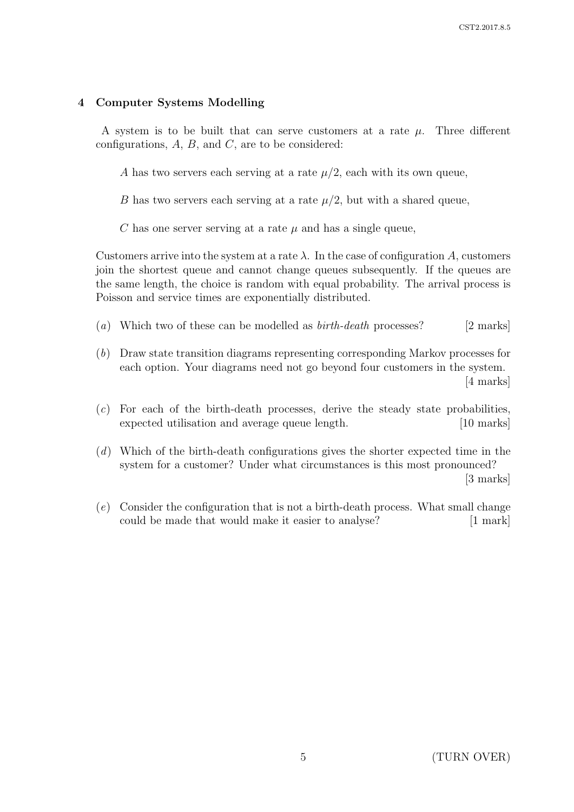# 4 Computer Systems Modelling

A system is to be built that can serve customers at a rate  $\mu$ . Three different configurations,  $A$ ,  $B$ , and  $C$ , are to be considered:

A has two servers each serving at a rate  $\mu/2$ , each with its own queue,

B has two servers each serving at a rate  $\mu/2$ , but with a shared queue,

C has one server serving at a rate  $\mu$  and has a single queue,

Customers arrive into the system at a rate  $\lambda$ . In the case of configuration A, customers join the shortest queue and cannot change queues subsequently. If the queues are the same length, the choice is random with equal probability. The arrival process is Poisson and service times are exponentially distributed.

- (a) Which two of these can be modelled as  $birth\text{-}death$  processes? [2 marks]
- (b) Draw state transition diagrams representing corresponding Markov processes for each option. Your diagrams need not go beyond four customers in the system. [4 marks]
- $(c)$  For each of the birth-death processes, derive the steady state probabilities, expected utilisation and average queue length. [10 marks]
- (d) Which of the birth-death configurations gives the shorter expected time in the system for a customer? Under what circumstances is this most pronounced? [3 marks]

(e) Consider the configuration that is not a birth-death process. What small change could be made that would make it easier to analyse? [1 mark]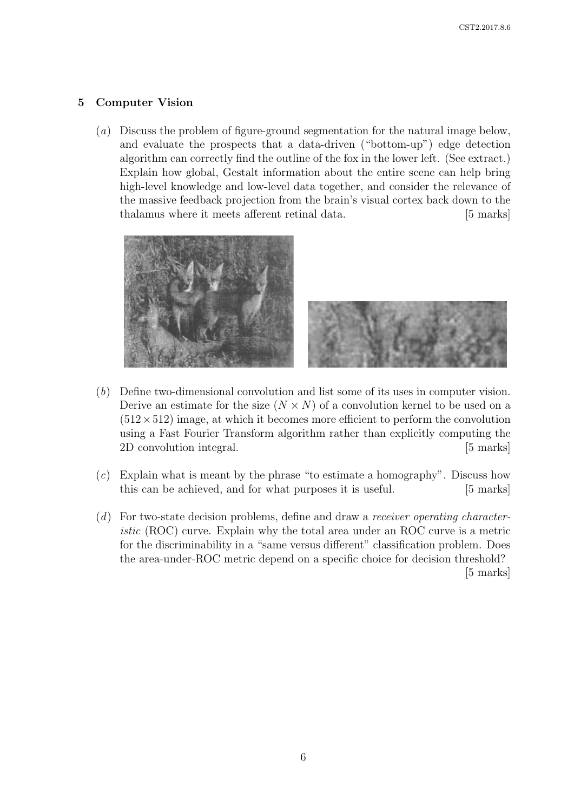# 5 Computer Vision

(a) Discuss the problem of figure-ground segmentation for the natural image below, and evaluate the prospects that a data-driven ("bottom-up") edge detection algorithm can correctly find the outline of the fox in the lower left. (See extract.) Explain how global, Gestalt information about the entire scene can help bring high-level knowledge and low-level data together, and consider the relevance of the massive feedback projection from the brain's visual cortex back down to the thalamus where it meets afferent retinal data. [5 marks]



- (b) Define two-dimensional convolution and list some of its uses in computer vision. Derive an estimate for the size  $(N \times N)$  of a convolution kernel to be used on a  $(512 \times 512)$  image, at which it becomes more efficient to perform the convolution using a Fast Fourier Transform algorithm rather than explicitly computing the 2D convolution integral. [5 marks]
- $(c)$  Explain what is meant by the phrase "to estimate a homography". Discuss how this can be achieved, and for what purposes it is useful. [5 marks]
- (d) For two-state decision problems, define and draw a receiver operating characteristic (ROC) curve. Explain why the total area under an ROC curve is a metric for the discriminability in a "same versus different" classification problem. Does the area-under-ROC metric depend on a specific choice for decision threshold? [5 marks]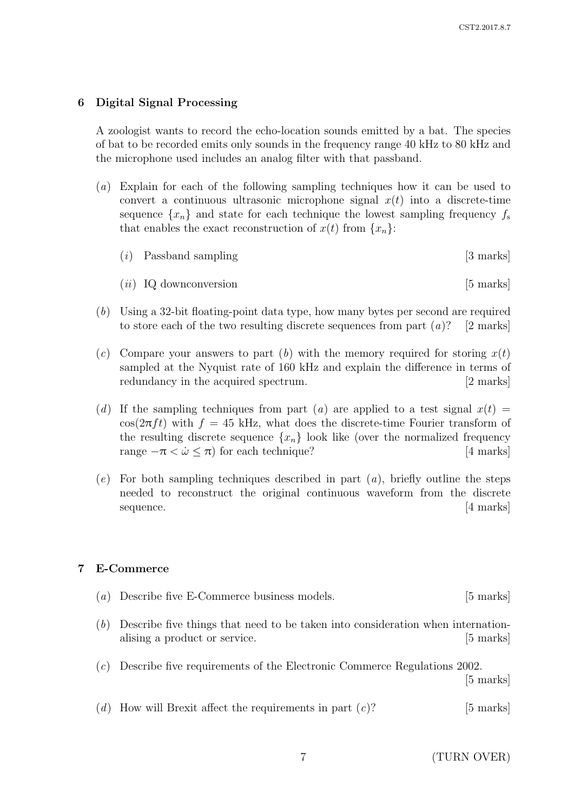### 6 Digital Signal Processing

A zoologist wants to record the echo-location sounds emitted by a bat. The species of bat to be recorded emits only sounds in the frequency range 40 kHz to 80 kHz and the microphone used includes an analog filter with that passband.

- (a) Explain for each of the following sampling techniques how it can be used to convert a continuous ultrasonic microphone signal  $x(t)$  into a discrete-time sequence  $\{x_n\}$  and state for each technique the lowest sampling frequency  $f_s$ that enables the exact reconstruction of  $x(t)$  from  $\{x_n\}$ :
	- $(i)$  Passband sampling [3 marks]
	- $(ii)$  IQ downconversion [5 marks]
- (b) Using a 32-bit floating-point data type, how many bytes per second are required to store each of the two resulting discrete sequences from part  $(a)$ ? [2 marks]
- (c) Compare your answers to part (b) with the memory required for storing  $x(t)$ sampled at the Nyquist rate of 160 kHz and explain the difference in terms of redundancy in the acquired spectrum. [2 marks]
- (d) If the sampling techniques from part (a) are applied to a test signal  $x(t) =$  $\cos(2\pi ft)$  with  $f = 45$  kHz, what does the discrete-time Fourier transform of the resulting discrete sequence  $\{x_n\}$  look like (over the normalized frequency range  $-\pi < \dot{\omega} < \pi$ ) for each technique? [4 marks] range  $-\pi < \dot{\omega} < \pi$ ) for each technique?
- $(e)$  For both sampling techniques described in part  $(a)$ , briefly outline the steps needed to reconstruct the original continuous waveform from the discrete sequence. [4 marks]

### 7 E-Commerce

| (a) Describe five E-Commerce business models. | $[5 \text{ marks}]$ |
|-----------------------------------------------|---------------------|
|                                               |                     |

- (b) Describe five things that need to be taken into consideration when internationalising a product or service. [5] marks]
- (c) Describe five requirements of the Electronic Commerce Regulations 2002.

[5 marks]

(d) How will Brexit affect the requirements in part  $(c)$ ? [5 marks]

7 (TURN OVER)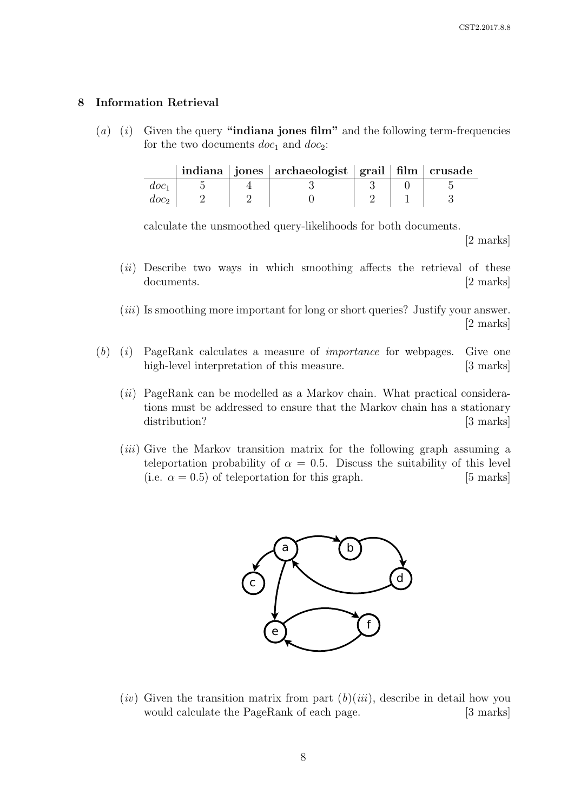# 8 Information Retrieval

(a) (i) Given the query "indiana jones film" and the following term-frequencies for the two documents  $doc_1$  and  $doc_2$ :

|       |  | indiana   jones   archaeologist   grail   film   crusade |  |  |
|-------|--|----------------------------------------------------------|--|--|
| d.oc1 |  |                                                          |  |  |
|       |  |                                                          |  |  |

calculate the unsmoothed query-likelihoods for both documents.

[2 marks]

- $(ii)$  Describe two ways in which smoothing affects the retrieval of these documents. [2 marks]
- (*iii*) Is smoothing more important for long or short queries? Justify your answer. [2 marks]
- $(b)$  (i) PageRank calculates a measure of *importance* for webpages. Give one high-level interpretation of this measure. [3 marks]
	- $(ii)$  PageRank can be modelled as a Markov chain. What practical considerations must be addressed to ensure that the Markov chain has a stationary distribution? [3 marks]
	- $(iii)$  Give the Markov transition matrix for the following graph assuming a teleportation probability of  $\alpha = 0.5$ . Discuss the suitability of this level (i.e.  $\alpha = 0.5$ ) of teleportation for this graph. [5 marks]



(*iv*) Given the transition matrix from part  $(b)(iii)$ , describe in detail how you would calculate the PageRank of each page. [3 marks]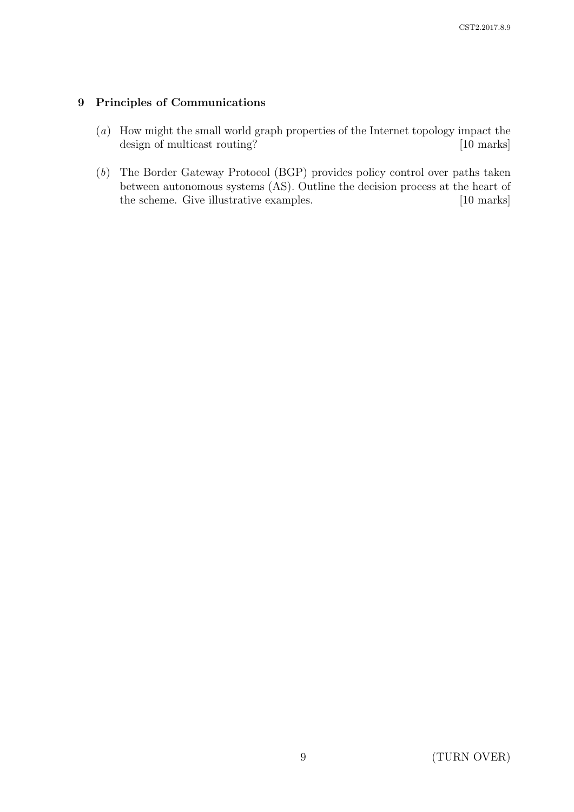# 9 Principles of Communications

- (a) How might the small world graph properties of the Internet topology impact the design of multicast routing? [10 marks]
- (b) The Border Gateway Protocol (BGP) provides policy control over paths taken between autonomous systems (AS). Outline the decision process at the heart of the scheme. Give illustrative examples. [10 marks]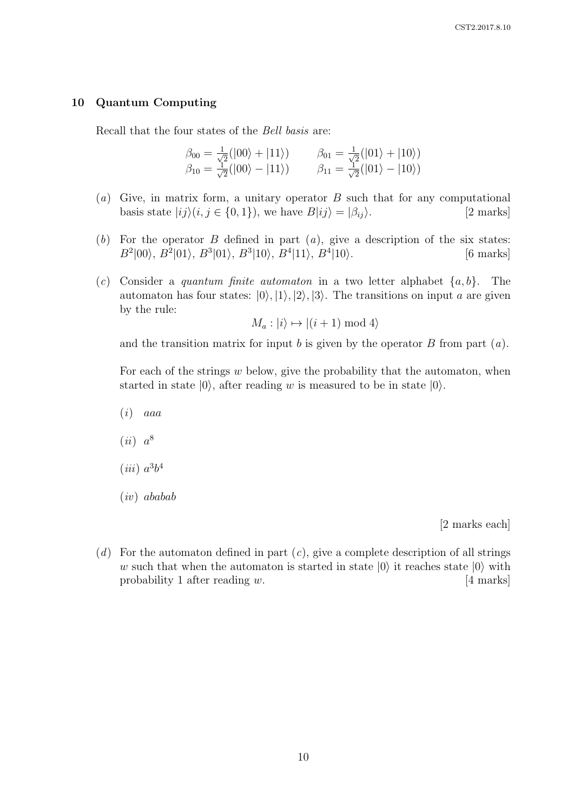#### 10 Quantum Computing

Recall that the four states of the Bell basis are:

$$
\begin{array}{ll}\n\beta_{00} = \frac{1}{\sqrt{2}}(|00\rangle + |11\rangle) & \beta_{01} = \frac{1}{\sqrt{2}}(|01\rangle + |10\rangle) \\
\beta_{10} = \frac{1}{\sqrt{2}}(|00\rangle - |11\rangle) & \beta_{11} = \frac{1}{\sqrt{2}}(|01\rangle - |10\rangle)\n\end{array}
$$

- (a) Give, in matrix form, a unitary operator  $B$  such that for any computational basis state  $|ij\rangle(i, j \in \{0, 1\})$ , we have  $B|ij\rangle = |\beta_{ij}\rangle$ . [2 marks]
- (b) For the operator  $B$  defined in part  $(a)$ , give a description of the six states:  $B^2|00\rangle$ ,  $B^2|01\rangle$ ,  $B^3|01\rangle$ ,  $B^3|10\rangle$ ,  $B^4|11\rangle$ ,  $B^4$  $[6$  marks $]$
- (c) Consider a quantum finite automaton in a two letter alphabet  $\{a, b\}$ . The automaton has four states:  $|0\rangle, |1\rangle, |2\rangle, |3\rangle$ . The transitions on input a are given by the rule:

$$
M_a: |i\rangle \mapsto |(i+1) \bmod 4\rangle
$$

and the transition matrix for input b is given by the operator  $B$  from part  $(a)$ .

For each of the strings  $w$  below, give the probability that the automaton, when started in state  $|0\rangle$ , after reading w is measured to be in state  $|0\rangle$ .

 $(i)$  aaa

- $(ii) a<sup>8</sup>$
- $(iii) a<sup>3</sup>b<sup>4</sup>$
- (iv) ababab

[2 marks each]

 $(d)$  For the automaton defined in part  $(c)$ , give a complete description of all strings w such that when the automaton is started in state  $|0\rangle$  it reaches state  $|0\rangle$  with probability 1 after reading w. [4 marks] probability 1 after reading  $w$ .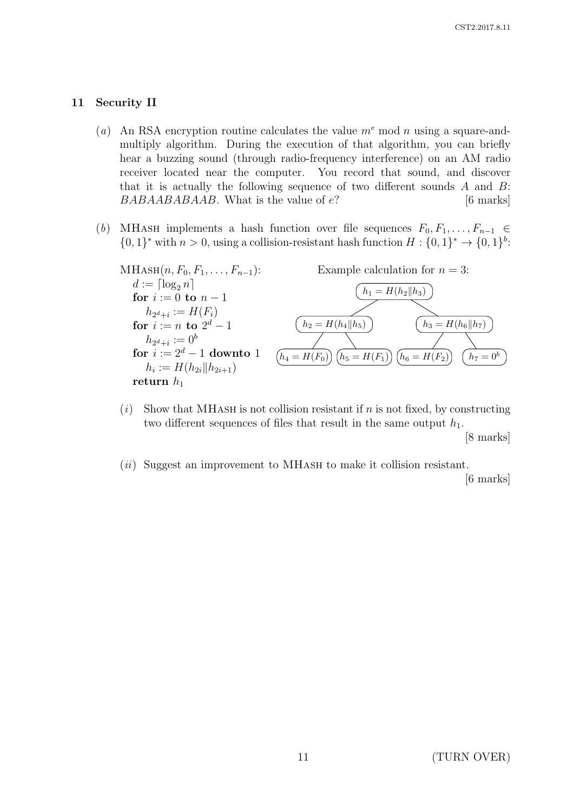### 11 Security II

- (a) An RSA encryption routine calculates the value  $m^e$  mod n using a square-andmultiply algorithm. During the execution of that algorithm, you can briefly hear a buzzing sound (through radio-frequency interference) on an AM radio receiver located near the computer. You record that sound, and discover that it is actually the following sequence of two different sounds  $A$  and  $B$ :  $BABABABABAB$ . What is the value of  $e$ ? [6 marks]
- (b) MHASH implements a hash function over file sequences  $F_0, F_1, \ldots, F_{n-1} \in$  $\{0,1\}^*$  with  $n > 0$ , using a collision-resistant hash function  $H: \{0,1\}^* \to \{0,1\}^b$ :



- (i) Show that MHASH is not collision resistant if n is not fixed, by constructing two different sequences of files that result in the same output  $h_1$ . [8 marks]
- $(ii)$  Suggest an improvement to MHASH to make it collision resistant.

[6 marks]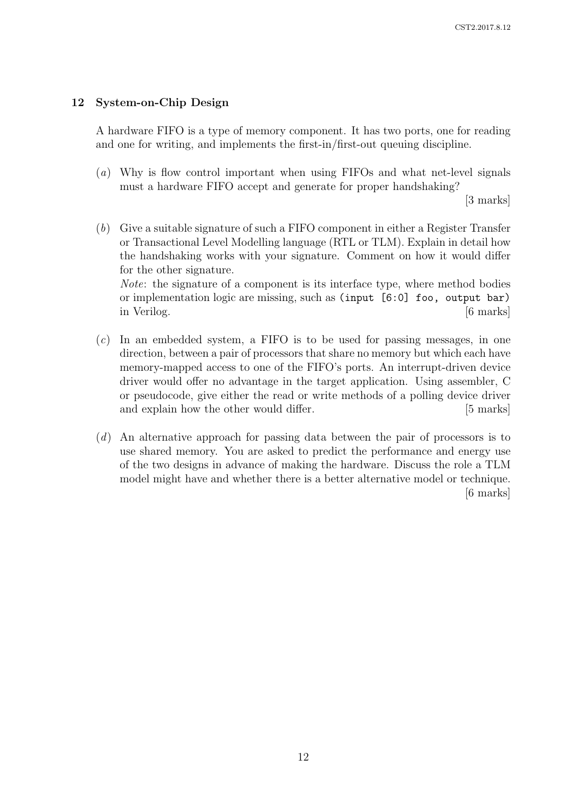# 12 System-on-Chip Design

A hardware FIFO is a type of memory component. It has two ports, one for reading and one for writing, and implements the first-in/first-out queuing discipline.

(a) Why is flow control important when using FIFOs and what net-level signals must a hardware FIFO accept and generate for proper handshaking?

[3 marks]

(b) Give a suitable signature of such a FIFO component in either a Register Transfer or Transactional Level Modelling language (RTL or TLM). Explain in detail how the handshaking works with your signature. Comment on how it would differ for the other signature.

Note: the signature of a component is its interface type, where method bodies or implementation logic are missing, such as (input [6:0] foo, output bar) in Verilog. [6 marks]

- $(c)$  In an embedded system, a FIFO is to be used for passing messages, in one direction, between a pair of processors that share no memory but which each have memory-mapped access to one of the FIFO's ports. An interrupt-driven device driver would offer no advantage in the target application. Using assembler, C or pseudocode, give either the read or write methods of a polling device driver and explain how the other would differ. [5 marks]
- (d) An alternative approach for passing data between the pair of processors is to use shared memory. You are asked to predict the performance and energy use of the two designs in advance of making the hardware. Discuss the role a TLM model might have and whether there is a better alternative model or technique. [6 marks]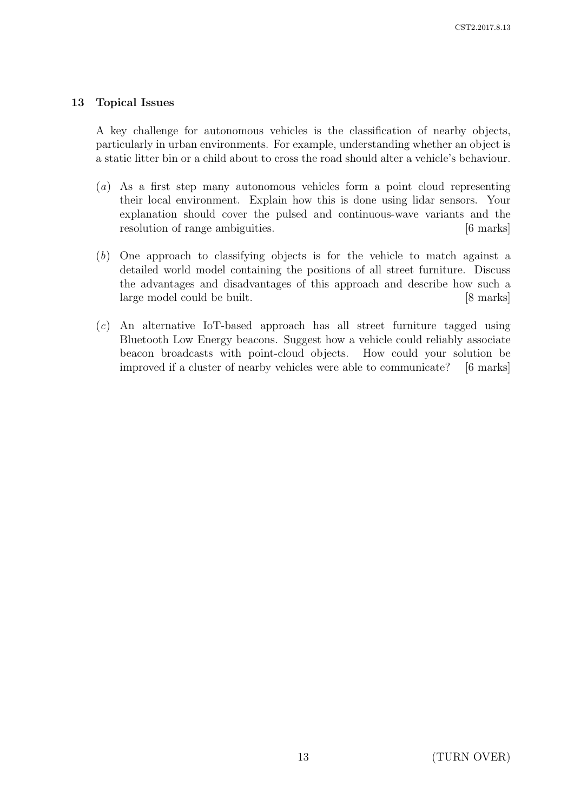# 13 Topical Issues

A key challenge for autonomous vehicles is the classification of nearby objects, particularly in urban environments. For example, understanding whether an object is a static litter bin or a child about to cross the road should alter a vehicle's behaviour.

- (a) As a first step many autonomous vehicles form a point cloud representing their local environment. Explain how this is done using lidar sensors. Your explanation should cover the pulsed and continuous-wave variants and the resolution of range ambiguities. [6 marks]
- (b) One approach to classifying objects is for the vehicle to match against a detailed world model containing the positions of all street furniture. Discuss the advantages and disadvantages of this approach and describe how such a large model could be built. [8 marks]
- (c) An alternative IoT-based approach has all street furniture tagged using Bluetooth Low Energy beacons. Suggest how a vehicle could reliably associate beacon broadcasts with point-cloud objects. How could your solution be improved if a cluster of nearby vehicles were able to communicate? [6 marks]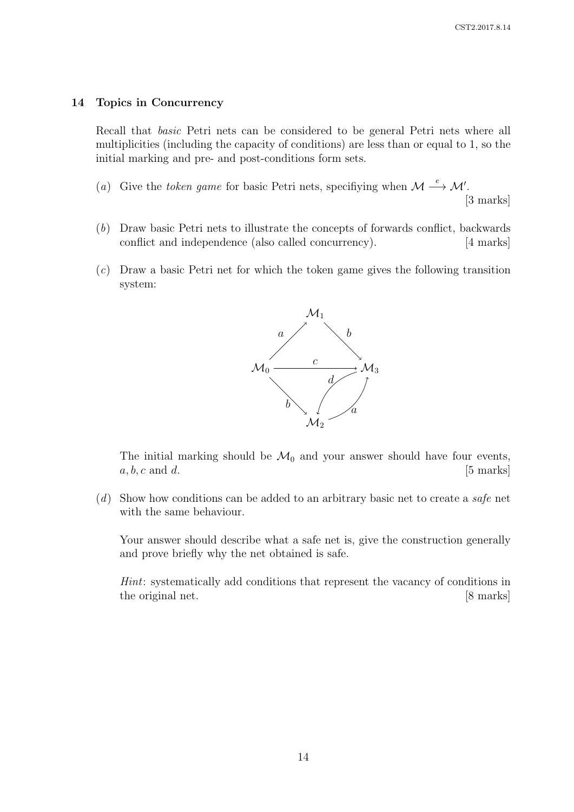#### 14 Topics in Concurrency

Recall that basic Petri nets can be considered to be general Petri nets where all multiplicities (including the capacity of conditions) are less than or equal to 1, so the initial marking and pre- and post-conditions form sets.

(a) Give the token game for basic Petri nets, specifiying when  $\mathcal{M} \stackrel{e}{\longrightarrow} \mathcal{M}'$ .

[3 marks]

- (b) Draw basic Petri nets to illustrate the concepts of forwards conflict, backwards conflict and independence (also called concurrency). [4 marks]
- (c) Draw a basic Petri net for which the token game gives the following transition system:



The initial marking should be  $\mathcal{M}_0$  and your answer should have four events, <br>*a, b, c* and *d*. [5 marks]  $a, b, c$  and  $d$ .

 $(d)$  Show how conditions can be added to an arbitrary basic net to create a safe net with the same behaviour.

Your answer should describe what a safe net is, give the construction generally and prove briefly why the net obtained is safe.

Hint: systematically add conditions that represent the vacancy of conditions in the original net. [8 marks]